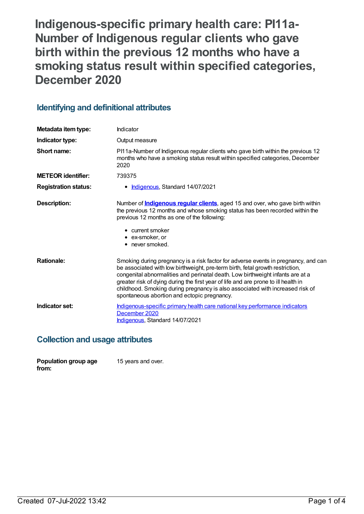**Indigenous-specific primary health care: PI11a-Number of Indigenous regular clients who gave birth within the previous 12 months who have a smoking status result within specified categories, December 2020**

## **Identifying and definitional attributes**

| Metadata item type:         | Indicator                                                                                                                                                                                                                                                                                                                                                                                                                                                                   |
|-----------------------------|-----------------------------------------------------------------------------------------------------------------------------------------------------------------------------------------------------------------------------------------------------------------------------------------------------------------------------------------------------------------------------------------------------------------------------------------------------------------------------|
| Indicator type:             | Output measure                                                                                                                                                                                                                                                                                                                                                                                                                                                              |
| Short name:                 | PI11a-Number of Indigenous regular clients who gave birth within the previous 12<br>months who have a smoking status result within specified categories, December<br>2020                                                                                                                                                                                                                                                                                                   |
| <b>METEOR</b> identifier:   | 739375                                                                                                                                                                                                                                                                                                                                                                                                                                                                      |
| <b>Registration status:</b> | • Indigenous, Standard 14/07/2021                                                                                                                                                                                                                                                                                                                                                                                                                                           |
| <b>Description:</b>         | Number of <b>Indigenous regular clients</b> , aged 15 and over, who gave birth within<br>the previous 12 months and whose smoking status has been recorded within the<br>previous 12 months as one of the following:<br>• current smoker<br>• ex-smoker, or<br>• never smoked.                                                                                                                                                                                              |
| <b>Rationale:</b>           | Smoking during pregnancy is a risk factor for adverse events in pregnancy, and can<br>be associated with low birthweight, pre-term birth, fetal growth restriction,<br>congenital abnormalities and perinatal death. Low birthweight infants are at a<br>greater risk of dying during the first year of life and are prone to ill health in<br>childhood. Smoking during pregnancy is also associated with increased risk of<br>spontaneous abortion and ectopic pregnancy. |
| Indicator set:              | Indigenous-specific primary health care national key performance indicators<br>December 2020<br>Indigenous, Standard 14/07/2021                                                                                                                                                                                                                                                                                                                                             |

## **Collection and usage attributes**

| Population group age | 15 years and over. |
|----------------------|--------------------|
| from:                |                    |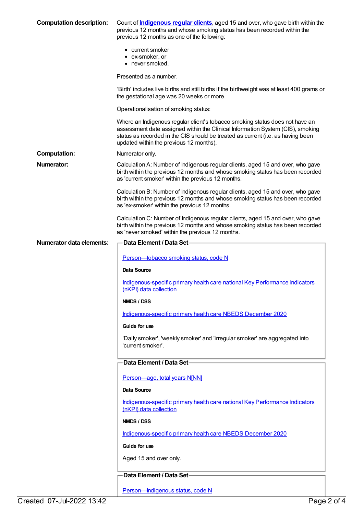| <b>Computation description:</b> | Count of <b>Indigenous regular clients</b> , aged 15 and over, who gave birth within the<br>previous 12 months and whose smoking status has been recorded within the<br>previous 12 months as one of the following:                                                                          |
|---------------------------------|----------------------------------------------------------------------------------------------------------------------------------------------------------------------------------------------------------------------------------------------------------------------------------------------|
|                                 | • current smoker<br>• ex-smoker, or<br>• never smoked.                                                                                                                                                                                                                                       |
|                                 | Presented as a number.                                                                                                                                                                                                                                                                       |
|                                 | 'Birth' includes live births and still births if the birthweight was at least 400 grams or<br>the gestational age was 20 weeks or more.                                                                                                                                                      |
|                                 | Operationalisation of smoking status:                                                                                                                                                                                                                                                        |
|                                 | Where an Indigenous regular client's tobacco smoking status does not have an<br>assessment date assigned within the Clinical Information System (CIS), smoking<br>status as recorded in the CIS should be treated as current (i.e. as having been<br>updated within the previous 12 months). |
| <b>Computation:</b>             | Numerator only.                                                                                                                                                                                                                                                                              |
| Numerator:                      | Calculation A: Number of Indigenous regular clients, aged 15 and over, who gave<br>birth within the previous 12 months and whose smoking status has been recorded<br>as 'current smoker' within the previous 12 months.                                                                      |
|                                 | Calculation B: Number of Indigenous regular clients, aged 15 and over, who gave<br>birth within the previous 12 months and whose smoking status has been recorded<br>as 'ex-smoker' within the previous 12 months.                                                                           |
|                                 | Calculation C: Number of Indigenous regular clients, aged 15 and over, who gave<br>birth within the previous 12 months and whose smoking status has been recorded<br>as 'never smoked' within the previous 12 months.                                                                        |
| <b>Numerator data elements:</b> | <b>Data Element / Data Set-</b>                                                                                                                                                                                                                                                              |
|                                 | Person-tobacco smoking status, code N                                                                                                                                                                                                                                                        |
|                                 | Data Source                                                                                                                                                                                                                                                                                  |
|                                 | Indigenous-specific primary health care national Key Performance Indicators<br>(nKPI) data collection                                                                                                                                                                                        |
|                                 | NMDS / DSS                                                                                                                                                                                                                                                                                   |
|                                 | Indigenous-specific primary health care NBEDS December 2020                                                                                                                                                                                                                                  |
|                                 | Guide for use                                                                                                                                                                                                                                                                                |
|                                 | 'Daily smoker', 'weekly smoker' and 'irregular smoker' are aggregated into<br>'current smoker'.                                                                                                                                                                                              |
|                                 | Data Element / Data Set-                                                                                                                                                                                                                                                                     |
|                                 | Person-age, total years N[NN]                                                                                                                                                                                                                                                                |
|                                 | Data Source                                                                                                                                                                                                                                                                                  |
|                                 | Indigenous-specific primary health care national Key Performance Indicators<br>(nKPI) data collection                                                                                                                                                                                        |
|                                 | NMDS / DSS                                                                                                                                                                                                                                                                                   |
|                                 | Indigenous-specific primary health care NBEDS December 2020                                                                                                                                                                                                                                  |
|                                 | Guide for use                                                                                                                                                                                                                                                                                |
|                                 | Aged 15 and over only.                                                                                                                                                                                                                                                                       |
|                                 | Data Element / Data Set-                                                                                                                                                                                                                                                                     |
|                                 | Person-Indigenous status, code N                                                                                                                                                                                                                                                             |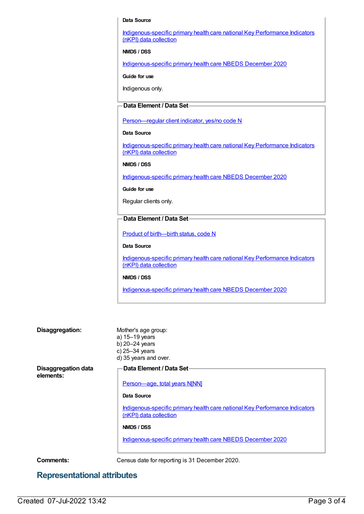#### **Data Source**

[Indigenous-specific](https://meteor.aihw.gov.au/content/737914) primary health care national Key Performance Indicators (nKPI) data collection

**NMDS / DSS**

[Indigenous-specific](https://meteor.aihw.gov.au/content/738532) primary health care NBEDS December 2020

**Guide for use**

Indigenous only.

### **Data Element / Data Set**

[Person—regular](https://meteor.aihw.gov.au/content/686291) client indicator, yes/no code N

### **Data Source**

[Indigenous-specific](https://meteor.aihw.gov.au/content/737914) primary health care national Key Performance Indicators (nKPI) data collection

#### **NMDS / DSS**

[Indigenous-specific](https://meteor.aihw.gov.au/content/738532) primary health care NBEDS December 2020

#### **Guide for use**

Regular clients only.

### **Data Element / Data Set**

Product of [birth—birth](https://meteor.aihw.gov.au/content/732895) status, code N

#### **Data Source**

[Indigenous-specific](https://meteor.aihw.gov.au/content/737914) primary health care national Key Performance Indicators (nKPI) data collection

### **NMDS / DSS**

[Indigenous-specific](https://meteor.aihw.gov.au/content/738532) primary health care NBEDS December 2020

| Disaggregation:                         | Mother's age group:<br>a) 15-19 years<br>b) $20-24$ years<br>c) 25-34 years<br>d) 35 years and over.  |
|-----------------------------------------|-------------------------------------------------------------------------------------------------------|
| <b>Disaggregation data</b><br>elements: | Data Element / Data Set-                                                                              |
|                                         | Person-age, total years N[NN]                                                                         |
|                                         | Data Source                                                                                           |
|                                         | Indigenous-specific primary health care national Key Performance Indicators<br>(nKPI) data collection |
|                                         | NMDS / DSS                                                                                            |
|                                         | Indigenous-specific primary health care NBEDS December 2020                                           |
| Commonte:                               | Consus data for reporting is 31 December 2020                                                         |

**Comments:** Census date for reporting is 31 December 2020.

## **Representational attributes**